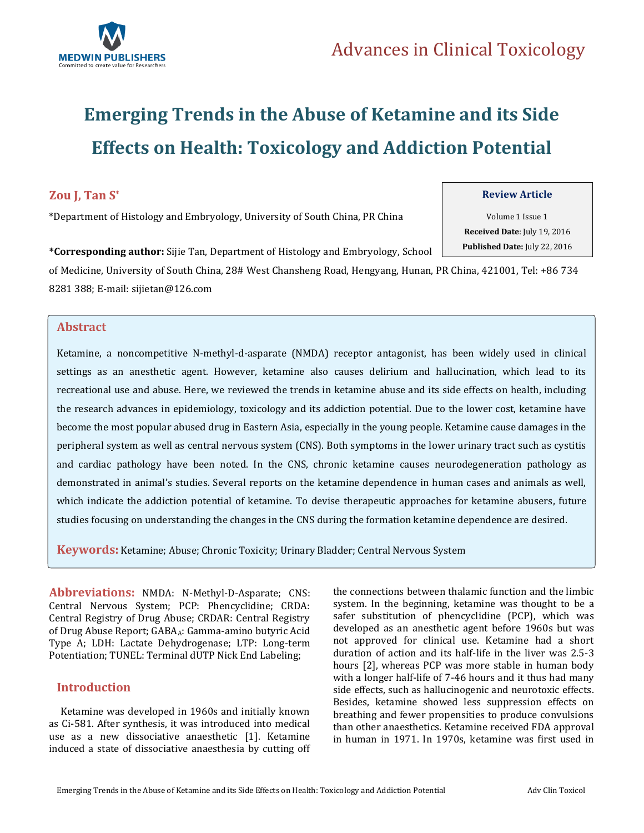

# **Emerging Trends in the Abuse of Ketamine and its Side Effects on Health: Toxicology and Addiction Potential**

### **Zou J, Tan S\***

\*Department of Histology and Embryology, University of South China, PR China

### **Review Article**

Volume 1 Issue 1 **Received Date**: July 19, 2016 **Published Date:** July 22, 2016

**\*Corresponding author:** Sijie Tan, Department of Histology and Embryology, School of Medicine, University of South China, 28# West Chansheng Road, Hengyang, Hunan, PR China, 421001, Tel: +86 734 8281 388; E-mail: [sijietan@126.com](mailto:sijietan@126.com)

### **.Abstract**

Ketamine, a noncompetitive N-methyl-d-asparate (NMDA) receptor antagonist, has been widely used in clinical settings as an anesthetic agent. However, ketamine also causes delirium and hallucination, which lead to its recreational use and abuse. Here, we reviewed the trends in ketamine abuse and its side effects on health, including the research advances in epidemiology, toxicology and its addiction potential. Due to the lower cost, ketamine have become the most popular abused drug in Eastern Asia, especially in the young people. Ketamine cause damages in the peripheral system as well as central nervous system (CNS). Both symptoms in the lower urinary tract such as cystitis and cardiac pathology have been noted. In the CNS, chronic ketamine causes neurodegeneration pathology as demonstrated in animal's studies. Several reports on the ketamine dependence in human cases and animals as well, which indicate the addiction potential of ketamine. To devise therapeutic approaches for ketamine abusers, future studies focusing on understanding the changes in the CNS during the formation ketamine dependence are desired.

**Keywords:** Ketamine; Abuse; Chronic Toxicity; Urinary Bladder; Central Nervous System

**Abbreviations:** NMDA: N-Methyl-D-Asparate; CNS: Central Nervous System; PCP: Phencyclidine; CRDA: Central Registry of Drug Abuse; CRDAR: Central Registry of Drug Abuse Report; GABAA: Gamma-amino butyric Acid Type A; LDH: Lactate Dehydrogenase; LTP: Long-term Potentiation; TUNEL: Terminal dUTP Nick End Labeling;

### **Introduction**

 Ketamine was developed in 1960s and initially known as Ci-581. After synthesis, it was introduced into medical use as a new dissociative anaesthetic [1]. Ketamine induced a state of dissociative anaesthesia by cutting off the connections between thalamic function and the limbic system. In the beginning, ketamine was thought to be a safer substitution of phencyclidine (PCP), which was developed as an anesthetic agent before 1960s but was not approved for clinical use. Ketamine had a short duration of action and its half-life in the liver was 2.5-3 hours [2], whereas PCP was more stable in human body with a longer half-life of 7-46 hours and it thus had many side effects, such as hallucinogenic and neurotoxic effects. Besides, ketamine showed less suppression effects on breathing and fewer propensities to produce convulsions than other anaesthetics. Ketamine received FDA approval in human in 1971. In 1970s, ketamine was first used in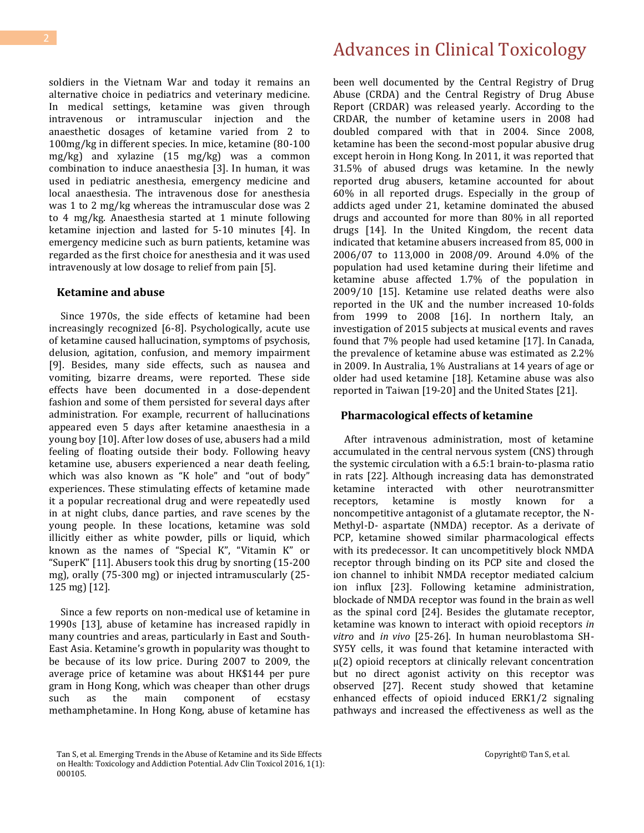soldiers in the Vietnam War and today it remains an alternative choice in pediatrics and veterinary medicine. In medical settings, ketamine was given through intravenous or intramuscular injection and the anaesthetic dosages of ketamine varied from 2 to 100mg/kg in different species. In mice, ketamine (80-100 mg/kg) and xylazine (15 mg/kg) was a common combination to induce anaesthesia [3]. In human, it was used in pediatric anesthesia, emergency medicine and local anaesthesia. The intravenous dose for anesthesia was 1 to 2 mg/kg whereas the intramuscular dose was 2 to 4 mg/kg. Anaesthesia started at 1 minute following ketamine injection and lasted for 5-10 minutes [4]. In emergency medicine such as burn patients, ketamine was regarded as the first choice for anesthesia and it was used intravenously at low dosage to relief from pain [5].

#### **Ketamine and abuse**

 Since 1970s, the side effects of ketamine had been increasingly recognized [6-8]. Psychologically, acute use of ketamine caused hallucination, symptoms of psychosis, delusion, agitation, confusion, and memory impairment [9]. Besides, many side effects, such as nausea and vomiting, bizarre dreams, were reported. These side effects have been documented in a dose-dependent fashion and some of them persisted for several days after administration. For example, recurrent of hallucinations appeared even 5 days after ketamine anaesthesia in a young boy [10]. After low doses of use, abusers had a mild feeling of floating outside their body. Following heavy ketamine use, abusers experienced a near death feeling, which was also known as "K hole" and "out of body" experiences. These stimulating effects of ketamine made it a popular recreational drug and were repeatedly used in at night clubs, dance parties, and rave scenes by the young people. In these locations, ketamine was sold illicitly either as white powder, pills or liquid, which known as the names of "Special K", "Vitamin K" or "SuperK" [11]. Abusers took this drug by snorting (15-200 mg), orally (75-300 mg) or injected intramuscularly (25- 125 mg) [12].

 Since a few reports on non-medical use of ketamine in 1990s [13], abuse of ketamine has increased rapidly in many countries and areas, particularly in East and South-East Asia. Ketamine's growth in popularity was thought to be because of its low price. During 2007 to 2009, the average price of ketamine was about HK\$144 per pure gram in Hong Kong, which was cheaper than other drugs such as the main component of ecstasy methamphetamine. In Hong Kong, abuse of ketamine has

## Advances in Clinical Toxicology

been well documented by the Central Registry of Drug Abuse (CRDA) and the Central Registry of Drug Abuse Report (CRDAR) was released yearly. According to the CRDAR, the number of ketamine users in 2008 had doubled compared with that in 2004. Since 2008, ketamine has been the second-most popular abusive drug except heroin in Hong Kong. In 2011, it was reported that 31.5% of abused drugs was ketamine. In the newly reported drug abusers, ketamine accounted for about 60% in all reported drugs. Especially in the group of addicts aged under 21, ketamine dominated the abused drugs and accounted for more than 80% in all reported drugs [14]. In the United Kingdom, the recent data indicated that ketamine abusers increased from 85, 000 in 2006/07 to 113,000 in 2008/09. Around 4.0% of the population had used ketamine during their lifetime and ketamine abuse affected 1.7% of the population in 2009/10 [15]. Ketamine use related deaths were also reported in the UK and the number increased 10-folds from 1999 to 2008 [16]. In northern Italy, an investigation of 2015 subjects at musical events and raves found that 7% people had used ketamine [17]. In Canada, the prevalence of ketamine abuse was estimated as 2.2% in 2009. In Australia, 1% Australians at 14 years of age or older had used ketamine [18]. Ketamine abuse was also reported in Taiwan [19-20] and the United States [21].

### **Pharmacological effects of ketamine**

 After intravenous administration, most of ketamine accumulated in the central nervous system (CNS) through the systemic circulation with a 6.5:1 brain-to-plasma ratio in rats [22]. Although increasing data has demonstrated ketamine interacted with other neurotransmitter receptors, ketamine is mostly known for a noncompetitive antagonist of a glutamate receptor, the N-Methyl-D- aspartate (NMDA) receptor. As a derivate of PCP, ketamine showed similar pharmacological effects with its predecessor. It can uncompetitively block NMDA receptor through binding on its PCP site and closed the ion channel to inhibit NMDA receptor mediated calcium ion influx [23]. Following ketamine administration, blockade of NMDA receptor was found in the brain as well as the spinal cord [24]. Besides the glutamate receptor, ketamine was known to interact with opioid receptors *in vitro* and *in vivo* [25-26]. In human neuroblastoma SH-SY5Y cells, it was found that ketamine interacted with μ(2) opioid receptors at clinically relevant concentration but no direct agonist activity on this receptor was observed [27]. Recent study showed that ketamine enhanced effects of opioid induced ERK1/2 signaling pathways and increased the effectiveness as well as the

Tan S, et al. Emerging Trends in the Abuse of Ketamine and its Side Effects on Health: Toxicology and Addiction Potential. Adv Clin Toxicol 2016, 1(1): 000105.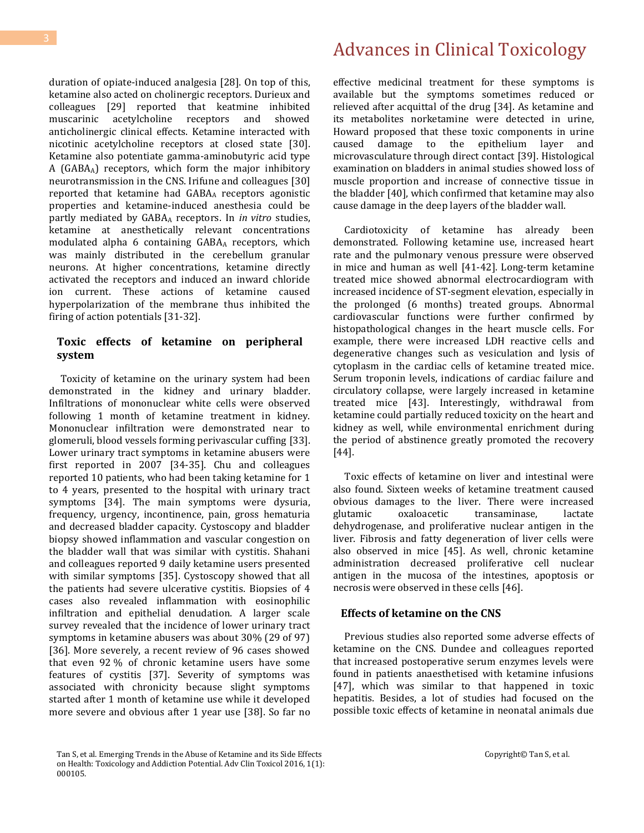duration of opiate-induced analgesia [28]. On top of this, ketamine also acted on cholinergic receptors. Durieux and colleagues [29] reported that keatmine inhibited muscarinic acetylcholine receptors and showed anticholinergic clinical effects. Ketamine interacted with nicotinic acetylcholine receptors at closed state [30]. Ketamine also potentiate gamma-aminobutyric acid type A (GABAA) receptors, which form the major inhibitory neurotransmission in the CNS. Irifune and colleagues [30] reported that ketamine had GABA<sup>A</sup> receptors agonistic properties and ketamine-induced anesthesia could be partly mediated by GABA<sup>A</sup> receptors. In *in vitro* studies, ketamine at anesthetically relevant concentrations modulated alpha 6 containing GABA<sup>A</sup> receptors, which was mainly distributed in the cerebellum granular neurons. At higher concentrations, ketamine directly activated the receptors and induced an inward chloride ion current. These actions of ketamine caused hyperpolarization of the membrane thus inhibited the firing of action potentials [31-32].

### **Toxic effects of ketamine on peripheral system**

 Toxicity of ketamine on the urinary system had been demonstrated in the kidney and urinary bladder. Infiltrations of mononuclear white cells were observed following 1 month of ketamine treatment in kidney. Mononuclear infiltration were demonstrated near to glomeruli, blood vessels forming perivascular cuffing [33]. Lower urinary tract symptoms in ketamine abusers were first reported in 2007 [34-35]. Chu and colleagues reported 10 patients, who had been taking ketamine for 1 to 4 years, presented to the hospital with urinary tract symptoms [34]. The main symptoms were dysuria, frequency, urgency, incontinence, pain, gross hematuria and decreased bladder capacity. Cystoscopy and bladder biopsy showed inflammation and vascular congestion on the bladder wall that was similar with cystitis. Shahani and colleagues reported 9 daily ketamine users presented with similar symptoms [35]. Cystoscopy showed that all the patients had severe ulcerative cystitis. Biopsies of 4 cases also revealed inflammation with eosinophilic infiltration and epithelial denudation. A larger scale survey revealed that the incidence of lower urinary tract symptoms in ketamine abusers was about 30% (29 of 97) [36]. More severely, a recent review of 96 cases showed that even 92 % of chronic ketamine users have some features of cystitis [37]. Severity of symptoms was associated with chronicity because slight symptoms started after 1 month of ketamine use while it developed more severe and obvious after 1 year use [38]. So far no

## Advances in Clinical Toxicology

effective medicinal treatment for these symptoms is available but the symptoms sometimes reduced or relieved after acquittal of the drug [34]. As ketamine and its metabolites norketamine were detected in urine, Howard proposed that these toxic components in urine caused damage to the epithelium layer and microvasculature through direct contact [39]. Histological examination on bladders in animal studies showed loss of muscle proportion and increase of connective tissue in the bladder [40], which confirmed that ketamine may also cause damage in the deep layers of the bladder wall.

 Cardiotoxicity of ketamine has already been demonstrated. Following ketamine use, increased heart rate and the pulmonary venous pressure were observed in mice and human as well [41-42]. Long-term ketamine treated mice showed abnormal electrocardiogram with increased incidence of ST-segment elevation, especially in the prolonged (6 months) treated groups. Abnormal cardiovascular functions were further confirmed by histopathological changes in the heart muscle cells. For example, there were increased LDH reactive cells and degenerative changes such as vesiculation and lysis of cytoplasm in the cardiac cells of ketamine treated mice. Serum troponin levels, indications of cardiac failure and circulatory collapse, were largely increased in ketamine treated mice [43]. Interestingly, withdrawal from ketamine could partially reduced toxicity on the heart and kidney as well, while environmental enrichment during the period of abstinence greatly promoted the recovery [44].

 Toxic effects of ketamine on liver and intestinal were also found. Sixteen weeks of ketamine treatment caused obvious damages to the liver. There were increased glutamic oxaloacetic transaminase, lactate dehydrogenase, and proliferative nuclear antigen in the liver. Fibrosis and fatty degeneration of liver cells were also observed in mice [45]. As well, chronic ketamine administration decreased proliferative cell nuclear antigen in the mucosa of the intestines, apoptosis or necrosis were observed in these cells [46].

### **Effects of ketamine on the CNS**

 Previous studies also reported some adverse effects of ketamine on the CNS. Dundee and colleagues reported that increased postoperative serum enzymes levels were found in patients anaesthetised with ketamine infusions [47], which was similar to that happened in toxic hepatitis. Besides, a lot of studies had focused on the possible toxic effects of ketamine in neonatal animals due

Tan S, et al. Emerging Trends in the Abuse of Ketamine and its Side Effects on Health: Toxicology and Addiction Potential. Adv Clin Toxicol 2016, 1(1): 000105.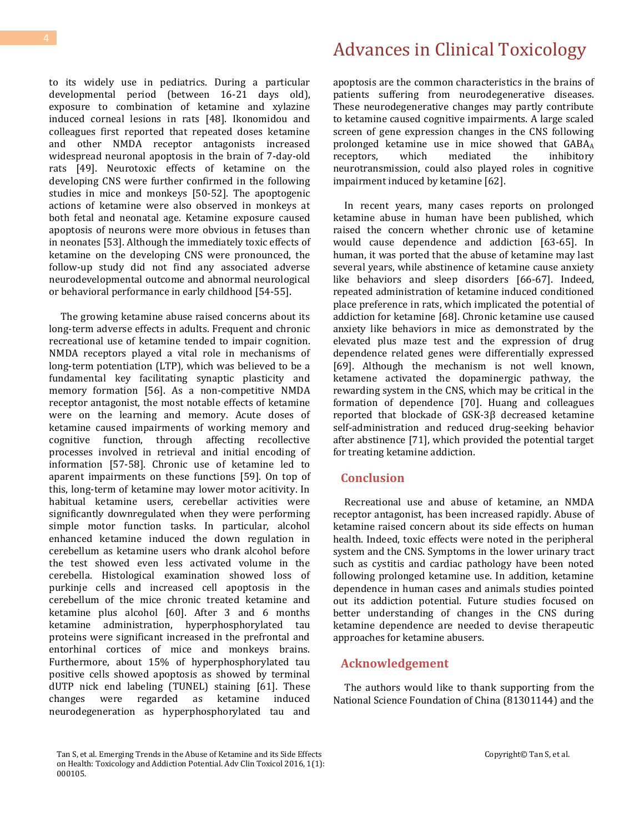to its widely use in pediatrics. During a particular developmental period (between 16-21 days old), exposure to combination of ketamine and xylazine induced corneal lesions in rats [48]. Ikonomidou and colleagues first reported that repeated doses ketamine and other NMDA receptor antagonists increased widespread neuronal apoptosis in the brain of 7-day-old rats [49]. Neurotoxic effects of ketamine on the developing CNS were further confirmed in the following studies in mice and monkeys [50-52]. The apoptogenic actions of ketamine were also observed in monkeys at both fetal and neonatal age. Ketamine exposure caused apoptosis of neurons were more obvious in fetuses than in neonates [53]. Although the immediately toxic effects of ketamine on the developing CNS were pronounced, the follow-up study did not find any associated adverse neurodevelopmental outcome and abnormal neurological or behavioral performance in early childhood [54-55].

 The growing ketamine abuse raised concerns about its long-term adverse effects in adults. Frequent and chronic recreational use of ketamine tended to impair cognition. NMDA receptors played a vital role in mechanisms of long-term potentiation (LTP), which was believed to be a fundamental key facilitating synaptic plasticity and memory formation [56]. As a non-competitive NMDA receptor antagonist, the most notable effects of ketamine were on the learning and memory. Acute doses of ketamine caused impairments of working memory and cognitive function, through affecting recollective processes involved in retrieval and initial encoding of information [57-58]. Chronic use of ketamine led to aparent impairments on these functions [59]. On top of this, long-term of ketamine may lower motor acitivity. In habitual ketamine users, cerebellar activities were significantly downregulated when they were performing simple motor function tasks. In particular, alcohol enhanced ketamine induced the down regulation in cerebellum as ketamine users who drank alcohol before the test showed even less activated volume in the cerebella. Histological examination showed loss of purkinje cells and increased cell apoptosis in the cerebellum of the mice chronic treated ketamine and ketamine plus alcohol [60]. After 3 and 6 months ketamine administration, hyperphosphorylated tau proteins were significant increased in the prefrontal and entorhinal cortices of mice and monkeys brains. Furthermore, about 15% of hyperphosphorylated tau positive cells showed apoptosis as showed by terminal dUTP nick end labeling (TUNEL) staining [61]. These changes were regarded as ketamine induced neurodegeneration as hyperphosphorylated tau and

apoptosis are the common characteristics in the brains of patients suffering from neurodegenerative diseases. These neurodegenerative changes may partly contribute to ketamine caused cognitive impairments. A large scaled screen of gene expression changes in the CNS following prolonged ketamine use in mice showed that GABAA receptors, which mediated the inhibitory neurotransmission, could also played roles in cognitive impairment induced by ketamine [62].

 In recent years, many cases reports on prolonged ketamine abuse in human have been published, which raised the concern whether chronic use of ketamine would cause dependence and addiction [63-65]. In human, it was ported that the abuse of ketamine may last several years, while abstinence of ketamine cause anxiety like behaviors and sleep disorders [66-67]. Indeed, repeated administration of ketamine induced conditioned place preference in rats, which implicated the potential of addiction for ketamine [68]. Chronic ketamine use caused anxiety like behaviors in mice as demonstrated by the elevated plus maze test and the expression of drug dependence related genes were differentially expressed [69]. Although the mechanism is not well known, ketamene activated the dopaminergic pathway, the rewarding system in the CNS, which may be critical in the formation of dependence [70]. Huang and colleagues reported that blockade of GSK-3β decreased ketamine self-administration and reduced drug-seeking behavior after abstinence [71], which provided the potential target for treating ketamine addiction.

### **Conclusion**

 Recreational use and abuse of ketamine, an NMDA receptor antagonist, has been increased rapidly. Abuse of ketamine raised concern about its side effects on human health. Indeed, toxic effects were noted in the peripheral system and the CNS. Symptoms in the lower urinary tract such as cystitis and cardiac pathology have been noted following prolonged ketamine use. In addition, ketamine dependence in human cases and animals studies pointed out its addiction potential. Future studies focused on better understanding of changes in the CNS during ketamine dependence are needed to devise therapeutic approaches for ketamine abusers.

### **Acknowledgement**

 The authors would like to thank supporting from the National Science Foundation of China (81301144) and the

Tan S, et al. Emerging Trends in the Abuse of Ketamine and its Side Effects on Health: Toxicology and Addiction Potential. Adv Clin Toxicol 2016, 1(1): 000105.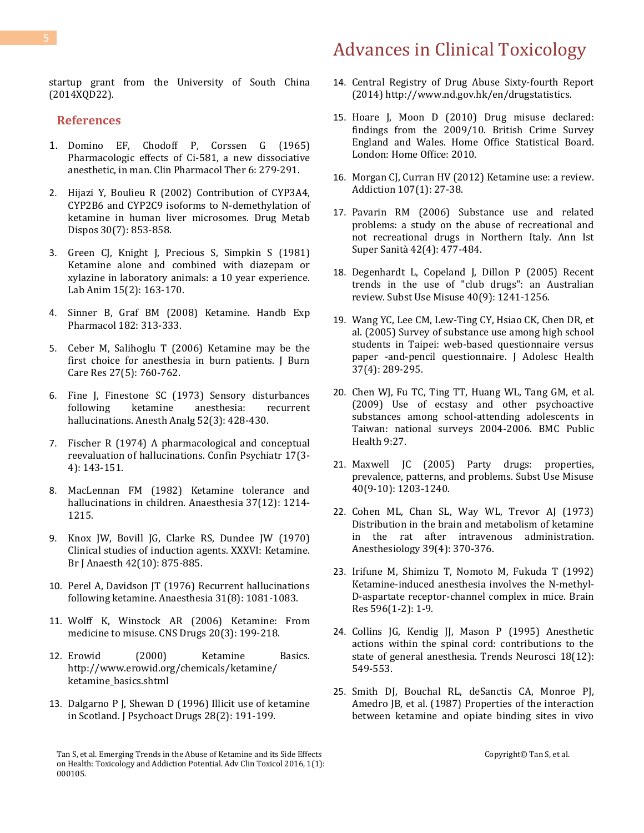startup grant from the University of South China (2014XQD22).

### **References**

- 1. [Domino EF, Chodoff P, Corssen G \(1965\)](http://www.ncbi.nlm.nih.gov/pubmed/14296024)  [Pharmacologic effects of Ci-581, a new dissociative](http://www.ncbi.nlm.nih.gov/pubmed/14296024)  [anesthetic, in man. Clin Pharmacol Ther](http://www.ncbi.nlm.nih.gov/pubmed/14296024) 6: 279-291.
- 2. [Hijazi Y, Boulieu R \(2002\) Contribution of CYP3A4,](http://www.ncbi.nlm.nih.gov/pubmed/12065445)  [CYP2B6 and CYP2C9 isoforms to N-demethylation of](http://www.ncbi.nlm.nih.gov/pubmed/12065445)  [ketamine in human liver microsomes. Drug Metab](http://www.ncbi.nlm.nih.gov/pubmed/12065445)  [Dispos 30\(7\): 853-858.](http://www.ncbi.nlm.nih.gov/pubmed/12065445)
- 3. [Green CJ, Knight J, Precious S, Simpkin S \(1981\)](http://www.ncbi.nlm.nih.gov/pubmed/7278122)  [Ketamine alone and combined with diazepam or](http://www.ncbi.nlm.nih.gov/pubmed/7278122)  [xylazine in laboratory animals: a 10 year experience.](http://www.ncbi.nlm.nih.gov/pubmed/7278122)  [Lab Anim 15\(2\): 163-170.](http://www.ncbi.nlm.nih.gov/pubmed/7278122)
- 4. [Sinner B, Graf BM \(2008\) Ketamine. Handb Exp](http://www.ncbi.nlm.nih.gov/pubmed/18175098)  [Pharmacol 182: 313-333.](http://www.ncbi.nlm.nih.gov/pubmed/18175098)
- 5. [Ceber M, Salihoglu T \(2006\) Ketamine may be the](http://www.ncbi.nlm.nih.gov/pubmed/16998413)  [first choice for anesthesia in burn patients. J Burn](http://www.ncbi.nlm.nih.gov/pubmed/16998413)  Care Res [27\(5\): 760-762.](http://www.ncbi.nlm.nih.gov/pubmed/16998413)
- 6. [Fine J, Finestone SC \(1973\) Sensory disturbances](http://www.ncbi.nlm.nih.gov/pubmed/4735997)  [following ketamine anesthesia: recurrent](http://www.ncbi.nlm.nih.gov/pubmed/4735997)  [hallucinations. Anesth Analg 52\(3\): 428-430.](http://www.ncbi.nlm.nih.gov/pubmed/4735997)
- 7. [Fischer R \(1974\) A pharmacological and conceptual](http://www.ncbi.nlm.nih.gov/pubmed/4465066)  [reevaluation of hallucinations. Confin Psychiatr 17\(3-](http://www.ncbi.nlm.nih.gov/pubmed/4465066) [4\): 143-151.](http://www.ncbi.nlm.nih.gov/pubmed/4465066)
- 8. [MacLennan FM \(1982\) Ketamine tolerance and](http://www.ncbi.nlm.nih.gov/pubmed/7181072)  [hallucinations in children. Anaesthesia 37\(12\): 1214-](http://www.ncbi.nlm.nih.gov/pubmed/7181072) [1215.](http://www.ncbi.nlm.nih.gov/pubmed/7181072)
- 9. [Knox JW, Bovill JG, Clarke RS, Dundee JW \(1970\)](http://www.ncbi.nlm.nih.gov/pubmed/5475444)  [Clinical studies of induction agents. XXXVI: Ketamine.](http://www.ncbi.nlm.nih.gov/pubmed/5475444)  [Br J Anaesth 42\(10\): 875-885.](http://www.ncbi.nlm.nih.gov/pubmed/5475444)
- 10. [Perel A, Davidson JT \(1976\) Recurrent hallucinations](http://www.ncbi.nlm.nih.gov/pubmed/984361)  [following ketamine. Anaesthesia 31\(8\): 1081-1083.](http://www.ncbi.nlm.nih.gov/pubmed/984361)
- 11. [Wolff K, Winstock AR \(2006\) Ketamine: From](http://www.ncbi.nlm.nih.gov/pubmed/16529526)  [medicine to misuse. CNS Drugs 20\(3\): 199-218.](http://www.ncbi.nlm.nih.gov/pubmed/16529526)
- 12. Erowid (2000) Ketamine Basics. [http://www.erowid.org/chemicals/ketamine/](http://www.erowid.org/chemicals/ketamine/%20ketamine_basics.shtml)  [ketamine\\_basics.shtml](http://www.erowid.org/chemicals/ketamine/%20ketamine_basics.shtml)
- 13. [Dalgarno P J, Shewan D \(1996\) Illicit use of ketamine](http://www.ncbi.nlm.nih.gov/pubmed/8811587)  [in Scotland. J Psychoact Drugs 28\(2\): 191-199.](http://www.ncbi.nlm.nih.gov/pubmed/8811587)
- 14. Central Registry of Drug Abuse Sixty-fourth Report (2014) [http://www.nd.gov.hk/en/drugstatistics.](http://www.nd.gov.hk/en/drugstatistics)
- 15. [Hoare J, Moon D \(2010\) Drug misuse declared:](https://www.gov.uk/government/statistics/drug-misuse-declared-findings-from-the-2009-10-british-crime-survey-england-and-wales)  [findings from the 2009/10. British Crime Survey](https://www.gov.uk/government/statistics/drug-misuse-declared-findings-from-the-2009-10-british-crime-survey-england-and-wales)  [England and Wales. Home Office Statistical Board.](https://www.gov.uk/government/statistics/drug-misuse-declared-findings-from-the-2009-10-british-crime-survey-england-and-wales)  [London: Home Office: 2010.](https://www.gov.uk/government/statistics/drug-misuse-declared-findings-from-the-2009-10-british-crime-survey-england-and-wales)
- 16. [Morgan CJ, Curran HV \(2012\) Ketamine use: a review.](http://www.ncbi.nlm.nih.gov/pubmed/21777321)  [Addiction 107\(1\): 27-38.](http://www.ncbi.nlm.nih.gov/pubmed/21777321)
- 17. Pavarin RM [\(2006\) Substance use and related](http://www.ncbi.nlm.nih.gov/pubmed/17361073)  [problems: a study on the abuse of recreational and](http://www.ncbi.nlm.nih.gov/pubmed/17361073)  [not recreational drugs in Northern Italy. Ann Ist](http://www.ncbi.nlm.nih.gov/pubmed/17361073)  [Super Sanità 42\(4\): 477-484.](http://www.ncbi.nlm.nih.gov/pubmed/17361073)
- 18. [Degenhardt L, Copeland J, Dillon P](http://www.ncbi.nlm.nih.gov/pubmed/16048815) (2005) Recent [trends in the use of "club drugs": an Australian](http://www.ncbi.nlm.nih.gov/pubmed/16048815)  [review. Subst Use Misuse 40\(9\): 1241-1256.](http://www.ncbi.nlm.nih.gov/pubmed/16048815)
- 19. [Wang YC, Lee CM, Lew-Ting CY, Hsiao CK, Chen DR, et](http://www.ncbi.nlm.nih.gov/pubmed/16182139)  [al. \(2005\) Survey of substance use among high school](http://www.ncbi.nlm.nih.gov/pubmed/16182139)  [students in Taipei: web-based questionnaire versus](http://www.ncbi.nlm.nih.gov/pubmed/16182139)  [paper -and-pencil questionnaire. J Adolesc Health](http://www.ncbi.nlm.nih.gov/pubmed/16182139)  [37\(4\): 289-295.](http://www.ncbi.nlm.nih.gov/pubmed/16182139)
- 20. [Chen WJ, Fu TC, Ting TT, Huang WL, Tang GM, et al.](http://bmcpublichealth.biomedcentral.com/articles/10.1186/1471-2458-9-27)  [\(2009\) Use of ecstasy and other psychoactive](http://bmcpublichealth.biomedcentral.com/articles/10.1186/1471-2458-9-27)  [substances among school-attending adolescents in](http://bmcpublichealth.biomedcentral.com/articles/10.1186/1471-2458-9-27)  [Taiwan: national surveys 2004-2006. BMC Public](http://bmcpublichealth.biomedcentral.com/articles/10.1186/1471-2458-9-27)  [Health 9:27.](http://bmcpublichealth.biomedcentral.com/articles/10.1186/1471-2458-9-27)
- 21. [Maxwell JC \(2005\) Party drugs: properties,](http://www.ncbi.nlm.nih.gov/pubmed/16048814)  [prevalence, patterns, and problems. Subst Use Misuse](http://www.ncbi.nlm.nih.gov/pubmed/16048814)  [40\(9-10\): 1203-1240.](http://www.ncbi.nlm.nih.gov/pubmed/16048814)
- 22. [Cohen ML, Chan SL, Way WL, Trevor AJ \(1973\)](http://www.ncbi.nlm.nih.gov/pubmed/4758343)  [Distribution in the brain and metabolism of ketamine](http://www.ncbi.nlm.nih.gov/pubmed/4758343)  in the rat after [intravenous administration.](http://www.ncbi.nlm.nih.gov/pubmed/4758343)  [Anesthesiology 39\(4\): 370-376.](http://www.ncbi.nlm.nih.gov/pubmed/4758343)
- 23. [Irifune M, Shimizu T, Nomoto M, Fukuda T \(1992\)](http://www.sciencedirect.com/science/article/pii/000689939291525J)  [Ketamine-induced anesthesia involves the N-methyl-](http://www.sciencedirect.com/science/article/pii/000689939291525J)[D-aspartate receptor-channel complex in mice. Brain](http://www.sciencedirect.com/science/article/pii/000689939291525J)  [Res 596\(1-2\): 1-9.](http://www.sciencedirect.com/science/article/pii/000689939291525J)
- 24. [Collins JG, Kendig JJ, Mason P \(1995\) Anesthetic](http://www.ncbi.nlm.nih.gov/pubmed/8638296)  [actions within the spinal cord: contributions to the](http://www.ncbi.nlm.nih.gov/pubmed/8638296)  [state of general anesthesia. Trends Neurosci](http://www.ncbi.nlm.nih.gov/pubmed/8638296) 18(12): [549-553.](http://www.ncbi.nlm.nih.gov/pubmed/8638296)
- 25. [Smith DJ, Bouchal RL, deSanctis CA, Monroe PJ,](http://www.ncbi.nlm.nih.gov/pubmed/2823161)  [Amedro JB, et al. \(1987\) Properties of the interaction](http://www.ncbi.nlm.nih.gov/pubmed/2823161)  [between ketamine and opiate binding sites in vivo](http://www.ncbi.nlm.nih.gov/pubmed/2823161)

Tan S, et al. Emerging Trends in the Abuse of Ketamine and its Side Effects on Health: Toxicology and Addiction Potential. Adv Clin Toxicol 2016, 1(1): 000105.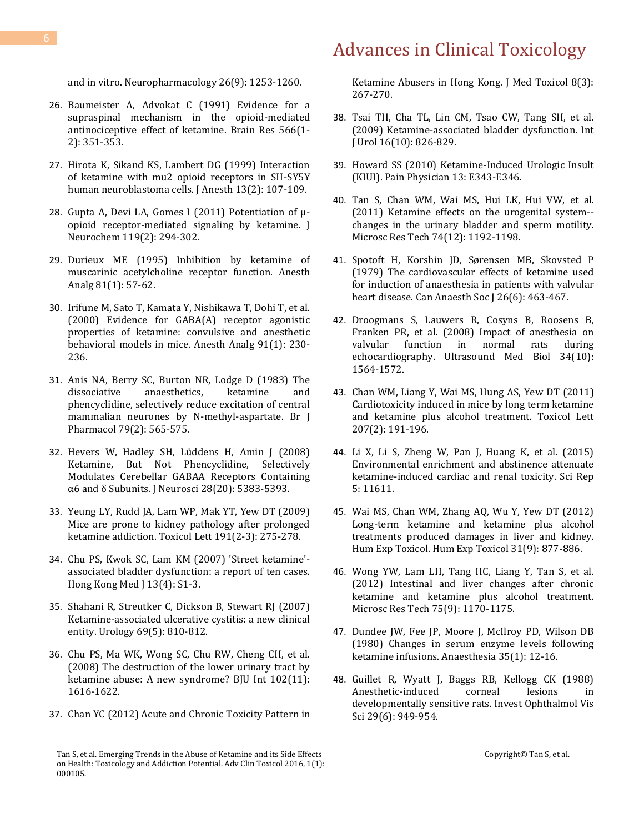and in vitro. Neuropharmacology 26(9): 1253-1260.

- 26. [Baumeister A, Advokat C \(1991\) Evidence for a](http://www.ncbi.nlm.nih.gov/pubmed/1814555)  [supraspinal mechanism in the opioid-mediated](http://www.ncbi.nlm.nih.gov/pubmed/1814555)  [antinociceptive effect of ketamine. Brain Res 566\(1-](http://www.ncbi.nlm.nih.gov/pubmed/1814555) [2\): 351-353.](http://www.ncbi.nlm.nih.gov/pubmed/1814555)
- 27. [Hirota K, Sikand KS, Lambert DG \(1999\) Interaction](http://www.ncbi.nlm.nih.gov/pubmed/14530949)  [of ketamine with mu2 opioid receptors in SH-SY5Y](http://www.ncbi.nlm.nih.gov/pubmed/14530949)  [human neuroblastoma cells. J Anesth 13\(2\): 107-109.](http://www.ncbi.nlm.nih.gov/pubmed/14530949)
- 28. Gupta A, D[evi LA, Gomes I \(2011\) Potentiation of μ](http://www.ncbi.nlm.nih.gov/pubmed/21692801)[opioid receptor-mediated signaling by ketamine. J](http://www.ncbi.nlm.nih.gov/pubmed/21692801)  [Neurochem 119\(2\): 294-302.](http://www.ncbi.nlm.nih.gov/pubmed/21692801)
- 29. [Durieux ME \(1995\) Inhibition by ketamine of](http://www.ncbi.nlm.nih.gov/pubmed/7598283)  [muscarinic acetylcholine receptor function. Anesth](http://www.ncbi.nlm.nih.gov/pubmed/7598283)  [Analg 81\(1\): 57-62.](http://www.ncbi.nlm.nih.gov/pubmed/7598283)
- 30. [Irifune M, Sato T, Kamata Y, Nishikawa T, Dohi T, et al.](http://www.ncbi.nlm.nih.gov/pubmed/10866918)  [\(2000\) Evidence for GABA\(A\) receptor agonistic](http://www.ncbi.nlm.nih.gov/pubmed/10866918)  [properties of ketamine: convulsive and anesthetic](http://www.ncbi.nlm.nih.gov/pubmed/10866918)  behavioral [models in mice. Anesth Analg 91\(1\): 230-](http://www.ncbi.nlm.nih.gov/pubmed/10866918) [236.](http://www.ncbi.nlm.nih.gov/pubmed/10866918)
- 31. [Anis NA, Berry SC, Burton NR, Lodge D \(1983\) The](http://www.ncbi.nlm.nih.gov/pmc/articles/PMC2044888/)  [dissociative anaesthetics, ketamine and](http://www.ncbi.nlm.nih.gov/pmc/articles/PMC2044888/)  [phencyclidine, selectively reduce excitation of central](http://www.ncbi.nlm.nih.gov/pmc/articles/PMC2044888/)  [mammalian neurones by N-methyl-aspartate. Br J](http://www.ncbi.nlm.nih.gov/pmc/articles/PMC2044888/)  [Pharmacol 79\(2\): 565-575.](http://www.ncbi.nlm.nih.gov/pmc/articles/PMC2044888/)
- 32. [Hevers W, Hadley SH, Lüddens H, Amin J \(2008\)](http://www.jneurosci.org/content/28/20/5383.full.pdf)  [Ketamine, But Not Phencyclidine, Selectively](http://www.jneurosci.org/content/28/20/5383.full.pdf)  [Modulates Cerebellar GABAA Receptors Containing](http://www.jneurosci.org/content/28/20/5383.full.pdf)  [α6 and δ Subunits. J Neurosci 28\(20\): 5383](http://www.jneurosci.org/content/28/20/5383.full.pdf)-5393.
- 33. [Yeung LY, Rudd JA, Lam WP, Mak YT, Yew DT \(2009\)](http://www.sciencedirect.com/science/article/pii/S0378427409014301)  [Mice are prone to kidney pathology after prolonged](http://www.sciencedirect.com/science/article/pii/S0378427409014301)  [ketamine addiction. Toxicol Lett 191\(2-3\): 275-278.](http://www.sciencedirect.com/science/article/pii/S0378427409014301)
- 34. [Chu PS, Kwok SC, Lam KM \(2007\) 'Street ketamine'](http://www.ncbi.nlm.nih.gov/pubmed/17592176) [associated bladder dysfunction: a report of ten cases.](http://www.ncbi.nlm.nih.gov/pubmed/17592176)  [Hong Kong Med J 13\(4\): S1-3.](http://www.ncbi.nlm.nih.gov/pubmed/17592176)
- 35. [Shahani R, Streutker C, Dickson B, Stewart RJ \(2007\)](http://www.ncbi.nlm.nih.gov/pubmed/17482909)  [Ketamine-associated ulcerative cystitis: a new clinical](http://www.ncbi.nlm.nih.gov/pubmed/17482909)  [entity. Urology 69\(5\): 810-812.](http://www.ncbi.nlm.nih.gov/pubmed/17482909)
- 36. [Chu PS, Ma WK, Wong SC, Chu RW, Cheng CH, et al.](http://www.ncbi.nlm.nih.gov/pubmed/18680495)  [\(2008\) The destruction of the lower urinary tract by](http://www.ncbi.nlm.nih.gov/pubmed/18680495)  [ketamine abuse: A new syndrome? BJU Int 102\(11\):](http://www.ncbi.nlm.nih.gov/pubmed/18680495)  [1616-1622.](http://www.ncbi.nlm.nih.gov/pubmed/18680495)
- 37. [Chan YC \(2012\) Acute and Chronic Toxicity Pattern in](http://www.ncbi.nlm.nih.gov/pubmed/22552737)

[Ketamine Abusers in Hong Kong. J Med Toxicol 8\(3\):](http://www.ncbi.nlm.nih.gov/pubmed/22552737)  [267-270.](http://www.ncbi.nlm.nih.gov/pubmed/22552737)

- 38. [Tsai TH, Cha TL, Lin CM, Tsao CW, Tang SH, et al.](http://www.ncbi.nlm.nih.gov/pubmed/19659678)  [\(2009\) Ketamine-associated bladder dysfunction. Int](http://www.ncbi.nlm.nih.gov/pubmed/19659678)  [J Urol 16\(10\): 826-829.](http://www.ncbi.nlm.nih.gov/pubmed/19659678)
- 39. [Howard SS \(2010\) Ketamine-Induced Urologic Insult](http://www.painphysicianjournal.com/current/pdf?article=MTQwMg%3D%3D&journal=58)  [\(KIUI\). Pain Physician 13: E343-E346.](http://www.painphysicianjournal.com/current/pdf?article=MTQwMg%3D%3D&journal=58)
- 40. [Tan S, Chan WM, Wai MS, Hui LK, Hui VW, et al.](http://www.ncbi.nlm.nih.gov/pubmed/21563274)  [\(2011\) Ketamine effects on the urogenital system-](http://www.ncbi.nlm.nih.gov/pubmed/21563274) [changes in the urinary bladder and sperm motility.](http://www.ncbi.nlm.nih.gov/pubmed/21563274)  [Microsc Res Tech 74\(12\): 1192-1198.](http://www.ncbi.nlm.nih.gov/pubmed/21563274)
- 41. [Spotoft H, Korshin JD, Sørensen MB, Skovsted P](http://www.ncbi.nlm.nih.gov/pubmed/526869)  [\(1979\) The cardiovascular effects of ketamine used](http://www.ncbi.nlm.nih.gov/pubmed/526869)  [for induction of anaesthesia in patients with valvular](http://www.ncbi.nlm.nih.gov/pubmed/526869)  [heart disease. Can Anaesth Soc J 26\(6\): 463-467.](http://www.ncbi.nlm.nih.gov/pubmed/526869)
- 42. [Droogmans S, Lauwers R, Cosyns B, Roosens B,](http://www.ncbi.nlm.nih.gov/pubmed/18455290)  [Franken PR, et al. \(2008\) Impact of anesthesia on](http://www.ncbi.nlm.nih.gov/pubmed/18455290)  [valvular function in normal rats during](http://www.ncbi.nlm.nih.gov/pubmed/18455290)  [echocardiography. Ultrasound Med Biol 34\(10\):](http://www.ncbi.nlm.nih.gov/pubmed/18455290)  [1564-1572.](http://www.ncbi.nlm.nih.gov/pubmed/18455290)
- 43. [Chan WM, Liang Y, Wai MS, Hung AS, Yew DT \(2011\)](http://www.ncbi.nlm.nih.gov/pubmed/21945864)  [Cardiotoxicity induced in mice by long term ketamine](http://www.ncbi.nlm.nih.gov/pubmed/21945864)  [and ketamine plus alcohol treatment. Toxicol Lett](http://www.ncbi.nlm.nih.gov/pubmed/21945864)  [207\(2\): 191-196.](http://www.ncbi.nlm.nih.gov/pubmed/21945864)
- 44. [Li X, Li S, Zheng W, Pan J, Huang K, et al. \(2015\)](http://www.ncbi.nlm.nih.gov/pubmed/26112338)  [Environmental enrichment and abstinence attenuate](http://www.ncbi.nlm.nih.gov/pubmed/26112338)  [ketamine-induced cardiac and renal toxicity. Sci Rep](http://www.ncbi.nlm.nih.gov/pubmed/26112338)  [5: 11611.](http://www.ncbi.nlm.nih.gov/pubmed/26112338)
- 45. [Wai MS, Chan WM, Zhang AQ, Wu Y, Yew DT \(2012\)](http://www.ncbi.nlm.nih.gov/pubmed/22354085)  [Long-term ketamine and ketamine plus alcohol](http://www.ncbi.nlm.nih.gov/pubmed/22354085)  treatments [produced damages in liver and kidney.](http://www.ncbi.nlm.nih.gov/pubmed/22354085)  [Hum Exp Toxicol. Hum Exp Toxicol 31\(9\): 877-886.](http://www.ncbi.nlm.nih.gov/pubmed/22354085)
- 46. [Wong YW, Lam LH, Tang HC, Liang Y, Tan S, et al.](http://www.ncbi.nlm.nih.gov/pubmed/22623411)  [\(2012\) Intestinal and liver changes after chronic](http://www.ncbi.nlm.nih.gov/pubmed/22623411)  [ketamine and ketamine plus alcohol treatment.](http://www.ncbi.nlm.nih.gov/pubmed/22623411)  [Microsc Res Tech 75\(9\): 1170-1175.](http://www.ncbi.nlm.nih.gov/pubmed/22623411)
- 47. [Dundee JW, Fee JP, Moore J, McIlroy PD, Wilson DB](http://www.ncbi.nlm.nih.gov/pubmed/6104934)  [\(1980\) Changes in serum enzyme levels following](http://www.ncbi.nlm.nih.gov/pubmed/6104934)  [ketamine infusions. Anaesthesia 35\(1\): 12-16.](http://www.ncbi.nlm.nih.gov/pubmed/6104934)
- 48. [Guillet R, Wyatt J, Baggs RB, Kellogg CK \(1988\)](http://www.ncbi.nlm.nih.gov/pubmed/3372167)  Anesthetic-induced corneal lesions in [developmentally sensitive rats. Invest Ophthalmol Vis](http://www.ncbi.nlm.nih.gov/pubmed/3372167)  [Sci 29\(6\): 949-954.](http://www.ncbi.nlm.nih.gov/pubmed/3372167)

Tan S, et al. Emerging Trends in the Abuse of Ketamine and its Side Effects on Health: Toxicology and Addiction Potential. Adv Clin Toxicol 2016, 1(1): 000105.